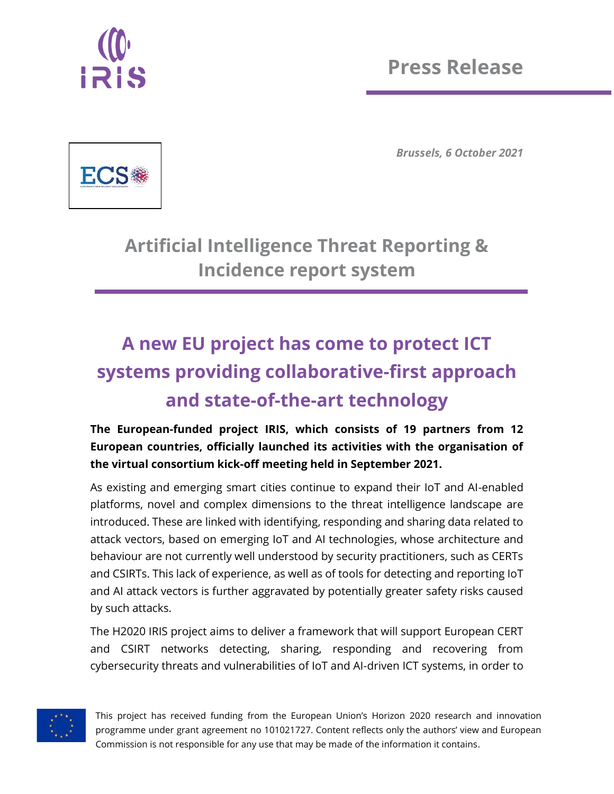

*Brussels, 6 October 2021*



**Artificial Intelligence Threat Reporting & Incidence report system**

## **A new EU project has come to protect ICT systems providing collaborative-first approach and state-of-the-art technology**

**The European-funded project IRIS, which consists of 19 partners from 12 European countries, officially launched its activities with the organisation of the virtual consortium kick-off meeting held in September 2021.**

As existing and emerging smart cities continue to expand their IoT and AI-enabled platforms, novel and complex dimensions to the threat intelligence landscape are introduced. These are linked with identifying, responding and sharing data related to attack vectors, based on emerging IoT and AI technologies, whose architecture and behaviour are not currently well understood by security practitioners, such as CERTs and CSIRTs. This lack of experience, as well as of tools for detecting and reporting IoT and AI attack vectors is further aggravated by potentially greater safety risks caused by such attacks.

The H2020 IRIS project aims to deliver a framework that will support European CERT and CSIRT networks detecting, sharing, responding and recovering from cybersecurity threats and vulnerabilities of IoT and AI-driven ICT systems, in order to



This project has received funding from the European Union's Horizon 2020 research and innovation programme under grant agreement no 101021727. Content reflects only the authors' view and European Commission is not responsible for any use that may be made of the information it contains.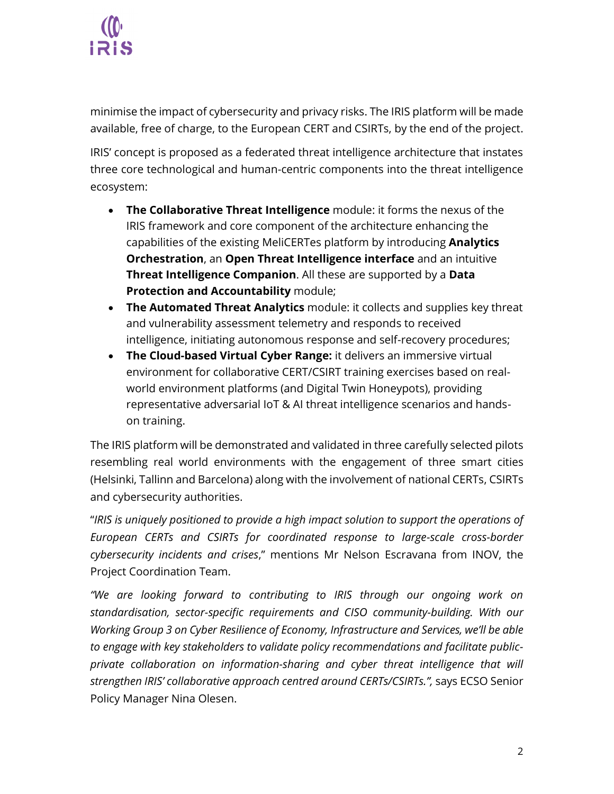

minimise the impact of cybersecurity and privacy risks. The IRIS platform will be made available, free of charge, to the European CERT and CSIRTs, by the end of the project.

IRIS' concept is proposed as a federated threat intelligence architecture that instates three core technological and human-centric components into the threat intelligence ecosystem:

- **The Collaborative Threat Intelligence** module: it forms the nexus of the IRIS framework and core component of the architecture enhancing the capabilities of the existing MeliCERTes platform by introducing **Analytics Orchestration**, an **Open Threat Intelligence interface** and an intuitive **Threat Intelligence Companion**. All these are supported by a **Data Protection and Accountability** module;
- **The Automated Threat Analytics** module: it collects and supplies key threat and vulnerability assessment telemetry and responds to received intelligence, initiating autonomous response and self-recovery procedures;
- **The Cloud-based Virtual Cyber Range:** it delivers an immersive virtual environment for collaborative CERT/CSIRT training exercises based on realworld environment platforms (and Digital Twin Honeypots), providing representative adversarial IoT & AI threat intelligence scenarios and handson training.

The IRIS platform will be demonstrated and validated in three carefully selected pilots resembling real world environments with the engagement of three smart cities (Helsinki, Tallinn and Barcelona) along with the involvement of national CERTs, CSIRTs and cybersecurity authorities.

"*IRIS is uniquely positioned to provide a high impact solution to support the operations of European CERTs and CSIRTs for coordinated response to large-scale cross-border cybersecurity incidents and crises*," mentions Mr Nelson Escravana from INOV, the Project Coordination Team.

*"We are looking forward to contributing to IRIS through our ongoing work on standardisation, sector-specific requirements and CISO community-building. With our Working Group 3 on Cyber Resilience of Economy, Infrastructure and Services, we'll be able to engage with key stakeholders to validate policy recommendations and facilitate publicprivate collaboration on information-sharing and cyber threat intelligence that will strengthen IRIS' collaborative approach centred around CERTs/CSIRTs.",* says ECSO Senior Policy Manager Nina Olesen.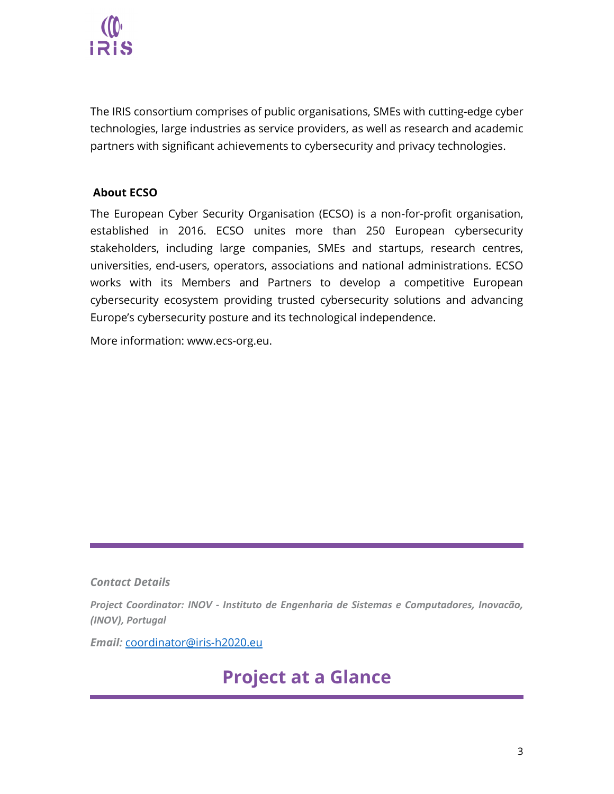

The IRIS consortium comprises of public organisations, SMEs with cutting-edge cyber technologies, large industries as service providers, as well as research and academic partners with significant achievements to cybersecurity and privacy technologies.

## **About ECSO**

The European Cyber Security Organisation (ECSO) is a non-for-profit organisation, established in 2016. ECSO unites more than 250 European cybersecurity stakeholders, including large companies, SMEs and startups, research centres, universities, end-users, operators, associations and national administrations. ECSO works with its Members and Partners to develop a competitive European cybersecurity ecosystem providing trusted cybersecurity solutions and advancing Europe's cybersecurity posture and its technological independence.

More information: [www.ecs-org.eu.](http://www.ecs-org.eu/)

*Contact Details*

*Project Coordinator: INOV - Instituto de Engenharia de Sistemas e Computadores, Inovacão, (INOV), Portugal* 

*Email:* [coordinator@iris-h2020.eu](mailto:coordinator@iris-h2020.eu)

## **Project at a Glance**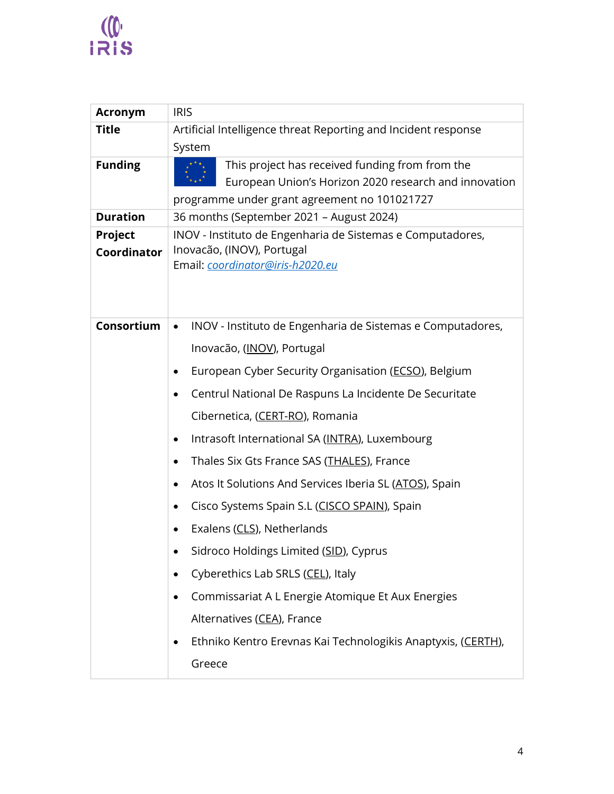

| <b>Acronym</b>         | <b>IRIS</b>                                                                                                                                                                                                                                                                                                                                                                                                                                                                                                                                                                                                                                                                                                   |
|------------------------|---------------------------------------------------------------------------------------------------------------------------------------------------------------------------------------------------------------------------------------------------------------------------------------------------------------------------------------------------------------------------------------------------------------------------------------------------------------------------------------------------------------------------------------------------------------------------------------------------------------------------------------------------------------------------------------------------------------|
| <b>Title</b>           | Artificial Intelligence threat Reporting and Incident response<br>System                                                                                                                                                                                                                                                                                                                                                                                                                                                                                                                                                                                                                                      |
| <b>Funding</b>         | This project has received funding from from the<br>European Union's Horizon 2020 research and innovation<br>programme under grant agreement no 101021727                                                                                                                                                                                                                                                                                                                                                                                                                                                                                                                                                      |
| <b>Duration</b>        | 36 months (September 2021 - August 2024)                                                                                                                                                                                                                                                                                                                                                                                                                                                                                                                                                                                                                                                                      |
| Project<br>Coordinator | INOV - Instituto de Engenharia de Sistemas e Computadores,<br>Inovacão, (INOV), Portugal<br>Email: coordinator@iris-h2020.eu                                                                                                                                                                                                                                                                                                                                                                                                                                                                                                                                                                                  |
| Consortium             | INOV - Instituto de Engenharia de Sistemas e Computadores,<br>$\bullet$<br>Inovacão, (INOV), Portugal<br>European Cyber Security Organisation (ECSO), Belgium<br>٠<br>Centrul National De Raspuns La Incidente De Securitate<br>٠<br>Cibernetica, (CERT-RO), Romania<br>Intrasoft International SA (INTRA), Luxembourg<br>Thales Six Gts France SAS (THALES), France<br>$\bullet$<br>Atos It Solutions And Services Iberia SL (ATOS), Spain<br>$\bullet$<br>Cisco Systems Spain S.L (CISCO SPAIN), Spain<br>Exalens (CLS), Netherlands<br>Sidroco Holdings Limited (SID), Cyprus<br>Cyberethics Lab SRLS (CEL), Italy<br>Commissariat A L Energie Atomique Et Aux Energies<br>Alternatives (CEA), France<br>٠ |
|                        | Ethniko Kentro Erevnas Kai Technologikis Anaptyxis, (CERTH),<br>Greece                                                                                                                                                                                                                                                                                                                                                                                                                                                                                                                                                                                                                                        |